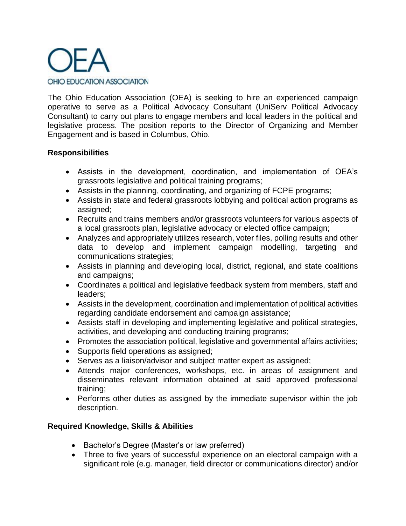

The Ohio Education Association (OEA) is seeking to hire an experienced campaign operative to serve as a Political Advocacy Consultant (UniServ Political Advocacy Consultant) to carry out plans to engage members and local leaders in the political and legislative process. The position reports to the Director of Organizing and Member Engagement and is based in Columbus, Ohio.

### **Responsibilities**

- Assists in the development, coordination, and implementation of OEA's grassroots legislative and political training programs;
- Assists in the planning, coordinating, and organizing of FCPE programs;
- Assists in state and federal grassroots lobbying and political action programs as assigned;
- Recruits and trains members and/or grassroots volunteers for various aspects of a local grassroots plan, legislative advocacy or elected office campaign;
- Analyzes and appropriately utilizes research, voter files, polling results and other data to develop and implement campaign modelling, targeting and communications strategies;
- Assists in planning and developing local, district, regional, and state coalitions and campaigns;
- Coordinates a political and legislative feedback system from members, staff and leaders;
- Assists in the development, coordination and implementation of political activities regarding candidate endorsement and campaign assistance;
- Assists staff in developing and implementing legislative and political strategies, activities, and developing and conducting training programs;
- Promotes the association political, legislative and governmental affairs activities;
- Supports field operations as assigned;
- Serves as a liaison/advisor and subject matter expert as assigned;
- Attends major conferences, workshops, etc. in areas of assignment and disseminates relevant information obtained at said approved professional training;
- Performs other duties as assigned by the immediate supervisor within the job description.

# **Required Knowledge, Skills & Abilities**

- Bachelor's Degree (Master's or law preferred)
- Three to five years of successful experience on an electoral campaign with a significant role (e.g. manager, field director or communications director) and/or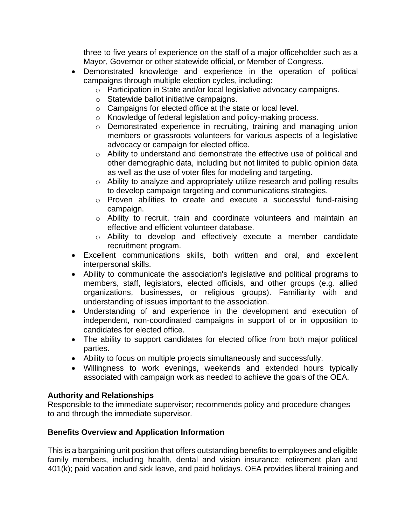three to five years of experience on the staff of a major officeholder such as a Mayor, Governor or other statewide official, or Member of Congress.

- Demonstrated knowledge and experience in the operation of political campaigns through multiple election cycles, including:
	- o Participation in State and/or local legislative advocacy campaigns.
	- o Statewide ballot initiative campaigns.
	- o Campaigns for elected office at the state or local level.
	- o Knowledge of federal legislation and policy-making process.
	- o Demonstrated experience in recruiting, training and managing union members or grassroots volunteers for various aspects of a legislative advocacy or campaign for elected office.
	- o Ability to understand and demonstrate the effective use of political and other demographic data, including but not limited to public opinion data as well as the use of voter files for modeling and targeting.
	- o Ability to analyze and appropriately utilize research and polling results to develop campaign targeting and communications strategies.
	- o Proven abilities to create and execute a successful fund-raising campaign.
	- o Ability to recruit, train and coordinate volunteers and maintain an effective and efficient volunteer database.
	- o Ability to develop and effectively execute a member candidate recruitment program.
- Excellent communications skills, both written and oral, and excellent interpersonal skills.
- Ability to communicate the association's legislative and political programs to members, staff, legislators, elected officials, and other groups (e.g. allied organizations, businesses, or religious groups). Familiarity with and understanding of issues important to the association.
- Understanding of and experience in the development and execution of independent, non-coordinated campaigns in support of or in opposition to candidates for elected office.
- The ability to support candidates for elected office from both major political parties.
- Ability to focus on multiple projects simultaneously and successfully.
- Willingness to work evenings, weekends and extended hours typically associated with campaign work as needed to achieve the goals of the OEA.

#### **Authority and Relationships**

Responsible to the immediate supervisor; recommends policy and procedure changes to and through the immediate supervisor.

# **Benefits Overview and Application Information**

This is a bargaining unit position that offers outstanding benefits to employees and eligible family members, including health, dental and vision insurance; retirement plan and 401(k); paid vacation and sick leave, and paid holidays. OEA provides liberal training and